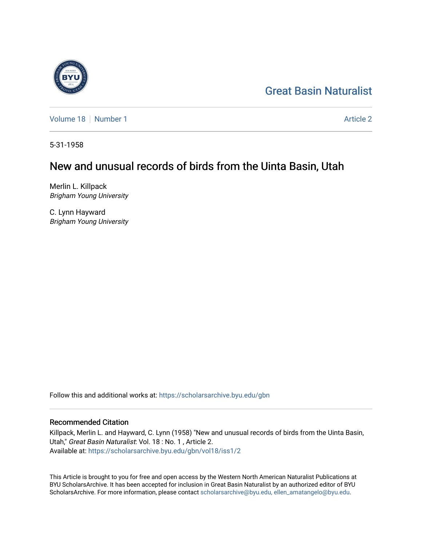# [Great Basin Naturalist](https://scholarsarchive.byu.edu/gbn)

[Volume 18](https://scholarsarchive.byu.edu/gbn/vol18) [Number 1](https://scholarsarchive.byu.edu/gbn/vol18/iss1) [Article 2](https://scholarsarchive.byu.edu/gbn/vol18/iss1/2) Article 2 Article 2 Article 2 Article 2 Article 2 Article 2

5-31-1958

# New and unusual records of birds from the Uinta Basin, Utah

Merlin L. Killpack Brigham Young University

C. Lynn Hayward Brigham Young University

Follow this and additional works at: [https://scholarsarchive.byu.edu/gbn](https://scholarsarchive.byu.edu/gbn?utm_source=scholarsarchive.byu.edu%2Fgbn%2Fvol18%2Fiss1%2F2&utm_medium=PDF&utm_campaign=PDFCoverPages) 

# Recommended Citation

Killpack, Merlin L. and Hayward, C. Lynn (1958) "New and unusual records of birds from the Uinta Basin, Utah," Great Basin Naturalist: Vol. 18 : No. 1 , Article 2. Available at: [https://scholarsarchive.byu.edu/gbn/vol18/iss1/2](https://scholarsarchive.byu.edu/gbn/vol18/iss1/2?utm_source=scholarsarchive.byu.edu%2Fgbn%2Fvol18%2Fiss1%2F2&utm_medium=PDF&utm_campaign=PDFCoverPages)

This Article is brought to you for free and open access by the Western North American Naturalist Publications at BYU ScholarsArchive. It has been accepted for inclusion in Great Basin Naturalist by an authorized editor of BYU ScholarsArchive. For more information, please contact [scholarsarchive@byu.edu, ellen\\_amatangelo@byu.edu.](mailto:scholarsarchive@byu.edu,%20ellen_amatangelo@byu.edu)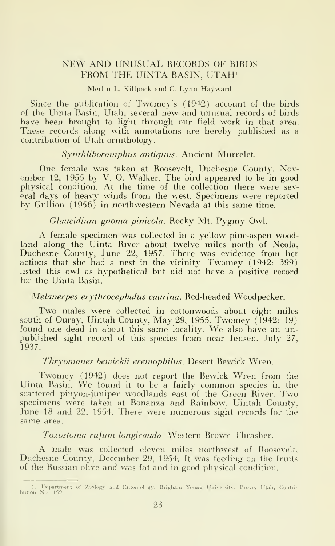# NEW AND UNUSUAL RECORDS OF RIRDS FROM IHE UINTA RASIN, UTAH'

#### Merlin L. Killpack and C. Lynn Hayward

Since the publication of Twomey's (1942) account of the birds of the Uinta Basin, Utah, several new and unusual records of birds have been brought to light through our field work in that area. These records along with annotations are hereby published as a contribution of Utah ornithology.

# Synthliboramphus antiquus. Ancient Murrelet.

One female was taken at Roosevelt, Duchesne County, November 12. 1955 by V. 0. Walker. The bird appeared to be in good physical condition. At the time of the collection there were sev eral days of heavy winds from the west. Specimens were reported by Gullion (1956) in northwestern Nevada at this same time.

# Glaucidium gnoma pinicola. Rocky Mt. Pygmy Owl.

A female specimen was collected in <sup>a</sup> yellow pine-aspen woodland along the Uinta River about twelve miles north of Neola, Duchesne County, June 22, 1957. There was evidence from her actions that she had <sup>a</sup> nest in the vicinity. Twomey (1942: 399) listed this owl as hypothetical but did not have a positive record for the Uinta Rasin.

# Melanerpes erythrocephalus caurina. Red-headed Woodpecker.

Two males were collected in cottonwoods about eight miles south of Ouray, Uintah County, May 29, 1955. Twomey (1942: 19) found one dead in about this same locality. We also have an unpublished sight record of this species from near Jensen. July 27, 1937.

#### Thryornanes bewickii eremophilus. Desert Rewick Wren.

Twomey (1942) does not report the Rewick Wren from the Uinta Rasin. We found it to be <sup>a</sup> fairly common species in the scattered pinyon-juniper woodlands east of the Green River. Two specimens were taken at Bonanza and Rainbow, Uintah County, June 18 and 22, 1954. There were numerous sight records for the same area.

# Toxostoma rufuni longicauda. Western Rrown Thrasher.

A male was collected eleven miles northwest of Roosevelt, Duchesne County, December 29, 1954. It was feeding on the fruits of the Russian olive and was fat and in good physical condition.

<sup>1.</sup> Department of 'Zoology and Entomology, Brigham Young University, Provo, Utah, Contribution No. 159.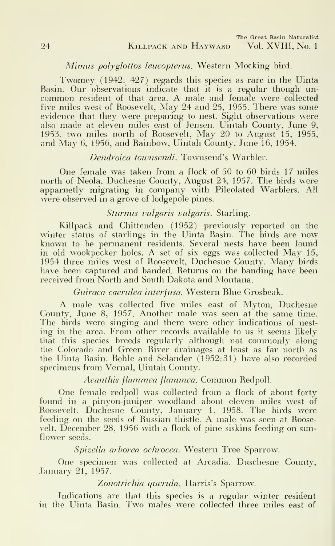# Mimus polyglottos leucopterus. Western Mocking bird.

Twomey (1942: 427) regards this species as rare in the Uinta Basin. Our observations indicate that it is a regular though un common resident of that area. A male and female were collected five miles west of Roosevelt, May 24 and 25, 1955. There was some evidence that they were preparing to nest. Sight observations were also made at eleven miles east of Jensen, Uintah County, June 9, 1953, two miles north of Roosevelt, May 20 to August 15, 1955, and May 6, 1956, and Rainbow, Uintah County, June 16, 1954.

# Dendroica townsendi. Townsend's Warbler.

One female was taken from a flock of 50 to 60 birds 17 miles north of Neola, Duchesne County, August 24, 1957. The birds wore apparnetly migrating in company with Pileolated Warblers. All were observed in a grove of lodgepole pines.

# Sturnus vulgaris vulgaris. Starling.

Killpack and Chittenden (1952) previously reported on the winter status of starlings in the Uinta Basin. The birds are now known to be permanent residents. Several nests have been found in old wookpecker holes. A set of six eggs was collected May 15, 1954 three miles west of Roosevelt, Duchesne County. Many birds have been captured and banded. Returns on the banding have been received from North and South Dakota and Montana.

Guiraca caerulea interfusa. Western Blue Grosbeak.

A male was collected five miles east of Myton, Duchesne County, June 8, 1957. Another male was seen at the same time. The birds were singing and there were other indications of nest ing in the area. From other records available to us it seems likely that this species breeds regularly although not commonly along the Colorado and Green River drainages at least as far north as the Uinta Basin. Behle and Selander (1952:31) have also recorded specimens from Vernal, Uintah County.

## Acanthis flammea flammea. Common Redpoll.

One female redpoll was collected from a flock of about forty found in a pinyon-juniper woodland about eleven miles west of Roosevelt, Duchesne County, January 1, 1958. The birds were feeding on the seeds of Russian thistle. A male was seen at Roosevelt, December 28. 1956 with a flock of pine siskins feeding on sun flower seeds.

Spizella arborea ochrocea. Western Tree Sparrow.

One specimen was collected at Arcadia, Duschesne Countv, .Tanuary 21, 1957.

Zonotrichia querula. Harris's Sparrow.

Indications are that this species is a regular winter resident in the Uinta Basin. I'wo males were collected three miles east of